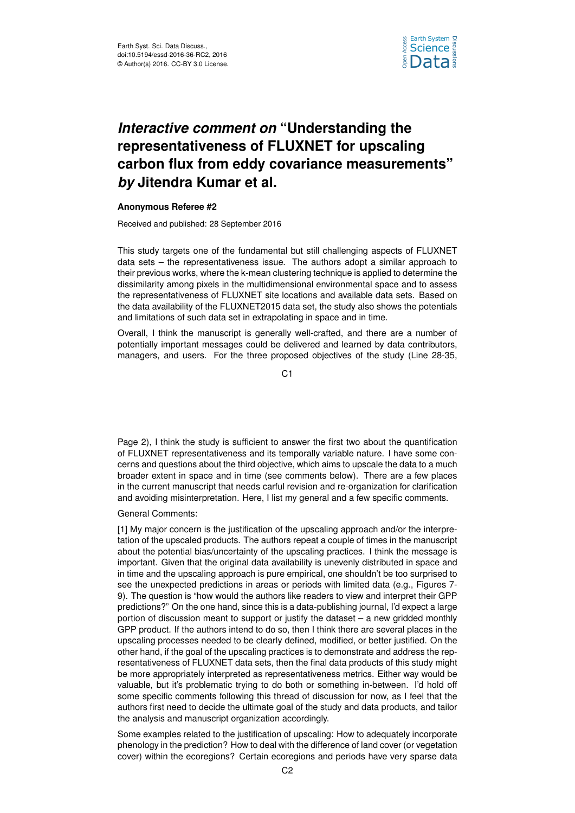

## *Interactive comment on* **"Understanding the representativeness of FLUXNET for upscaling carbon flux from eddy covariance measurements"** *by* **Jitendra Kumar et al.**

## **Anonymous Referee #2**

Received and published: 28 September 2016

This study targets one of the fundamental but still challenging aspects of FLUXNET data sets – the representativeness issue. The authors adopt a similar approach to their previous works, where the k-mean clustering technique is applied to determine the dissimilarity among pixels in the multidimensional environmental space and to assess the representativeness of FLUXNET site locations and available data sets. Based on the data availability of the FLUXNET2015 data set, the study also shows the potentials and limitations of such data set in extrapolating in space and in time.

Overall, I think the manuscript is generally well-crafted, and there are a number of potentially important messages could be delivered and learned by data contributors, managers, and users. For the three proposed objectives of the study (Line 28-35,

C<sub>1</sub>

Page 2), I think the study is sufficient to answer the first two about the quantification of FLUXNET representativeness and its temporally variable nature. I have some concerns and questions about the third objective, which aims to upscale the data to a much broader extent in space and in time (see comments below). There are a few places in the current manuscript that needs carful revision and re-organization for clarification and avoiding misinterpretation. Here, I list my general and a few specific comments.

## General Comments:

[1] My major concern is the justification of the upscaling approach and/or the interpretation of the upscaled products. The authors repeat a couple of times in the manuscript about the potential bias/uncertainty of the upscaling practices. I think the message is important. Given that the original data availability is unevenly distributed in space and in time and the upscaling approach is pure empirical, one shouldn't be too surprised to see the unexpected predictions in areas or periods with limited data (e.g., Figures 7- 9). The question is "how would the authors like readers to view and interpret their GPP predictions?" On the one hand, since this is a data-publishing journal, I'd expect a large portion of discussion meant to support or justify the dataset – a new gridded monthly GPP product. If the authors intend to do so, then I think there are several places in the upscaling processes needed to be clearly defined, modified, or better justified. On the other hand, if the goal of the upscaling practices is to demonstrate and address the representativeness of FLUXNET data sets, then the final data products of this study might be more appropriately interpreted as representativeness metrics. Either way would be valuable, but it's problematic trying to do both or something in-between. I'd hold off some specific comments following this thread of discussion for now, as I feel that the authors first need to decide the ultimate goal of the study and data products, and tailor the analysis and manuscript organization accordingly.

Some examples related to the justification of upscaling: How to adequately incorporate phenology in the prediction? How to deal with the difference of land cover (or vegetation cover) within the ecoregions? Certain ecoregions and periods have very sparse data